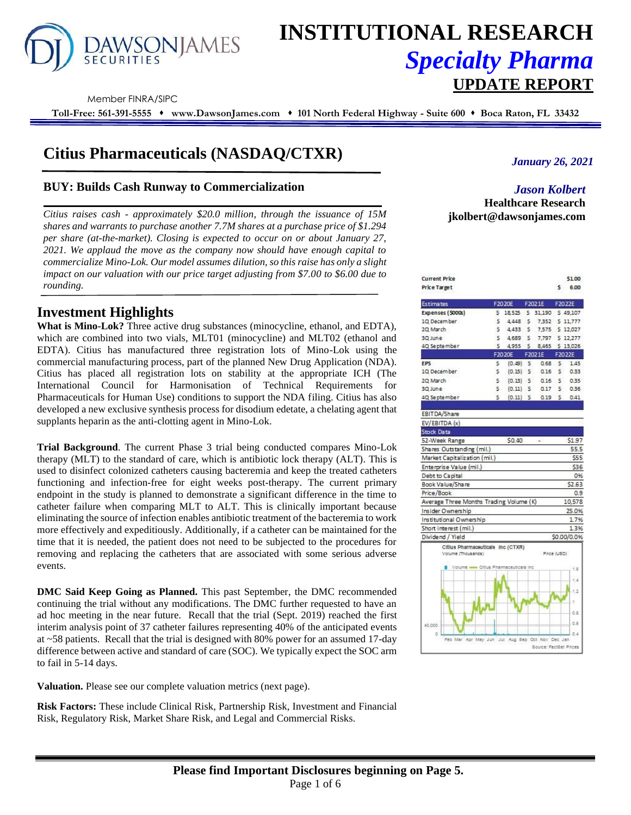

# **INSTITUTIONAL RESEARCH** *Specialty Pharma*  **UPDATE REPORT**

Member FINRA/SIPC

**Toll-Free: 561-391-5555** ⬧ **www.DawsonJames.com** ⬧ **101 North Federal Highway - Suite 600** ⬧ **Boca Raton, FL 33432**

# **Citius Pharmaceuticals (NASDAQ/CTXR)**

# **BUY: Builds Cash Runway to Commercialization**

*Citius raises cash - approximately \$20.0 million, through the issuance of 15M shares and warrants to purchase another 7.7M shares at a purchase price of \$1.294 per share (at-the-market). Closing is expected to occur on or about January 27, 2021. We applaud the move as the company now should have enough capital to commercialize Mino-Lok. Our model assumes dilution, so this raise has only a slight impact on our valuation with our price target adjusting from \$7.00 to \$6.00 due to rounding.* 

# **Investment Highlights**

**What is Mino-Lok?** Three active drug substances (minocycline, ethanol, and EDTA), which are combined into two vials, MLT01 (minocycline) and MLT02 (ethanol and EDTA). Citius has manufactured three registration lots of Mino-Lok using the commercial manufacturing process, part of the planned New Drug Application (NDA). Citius has placed all registration lots on stability at the appropriate ICH (The International Council for Harmonisation of Technical Requirements for Pharmaceuticals for Human Use) conditions to support the NDA filing. Citius has also developed a new exclusive synthesis process for disodium edetate, a chelating agent that supplants heparin as the anti-clotting agent in Mino-Lok.

**Trial Background**. The current Phase 3 trial being conducted compares Mino-Lok therapy (MLT) to the standard of care, which is antibiotic lock therapy (ALT). This is used to disinfect colonized catheters causing bacteremia and keep the treated catheters functioning and infection-free for eight weeks post-therapy. The current primary endpoint in the study is planned to demonstrate a significant difference in the time to catheter failure when comparing MLT to ALT. This is clinically important because eliminating the source of infection enables antibiotic treatment of the bacteremia to work more effectively and expeditiously. Additionally, if a catheter can be maintained for the time that it is needed, the patient does not need to be subjected to the procedures for removing and replacing the catheters that are associated with some serious adverse events.

**DMC Said Keep Going as Planned.** This past September, the DMC recommended continuing the trial without any modifications. The DMC further requested to have an ad hoc meeting in the near future. Recall that the trial (Sept. 2019) reached the first interim analysis point of 37 catheter failures representing 40% of the anticipated events at ~58 patients. Recall that the trial is designed with 80% power for an assumed 17-day difference between active and standard of care (SOC). We typically expect the SOC arm to fail in 5-14 days.

**Valuation.** Please see our complete valuation metrics (next page).

**Risk Factors:** These include Clinical Risk, Partnership Risk, Investment and Financial Risk, Regulatory Risk, Market Share Risk, and Legal and Commercial Risks.

# *January 26, 2021*

# *Jason Kolbert* **Healthcare Research jkolbert@dawsonjames.com**

| <b>Current Price</b> |        | \$1.00 |
|----------------------|--------|--------|
| Price Target         | $\sim$ | 6.00   |

| <b>Estimates</b>                                        |    | F2020E     |              | F2021E                     | F2022E       |             |
|---------------------------------------------------------|----|------------|--------------|----------------------------|--------------|-------------|
| Expenses (\$000s)                                       | s  |            |              | 18,525 \$ 31,190 \$ 49,107 |              |             |
| 10 December                                             | s  |            |              | 4,448 \$ 7,352 \$ 11,777   |              |             |
| 20 March                                                | \$ | 4,433      | s.           | 7,575                      |              | \$12,027    |
| 30 June                                                 | š  | 4,689      | $\mathsf{S}$ | 7,797                      |              | \$12,277    |
| 4Q September                                            | Ś  | 4,955      | $\mathsf{S}$ | 8,465 \$ 13,026            |              |             |
|                                                         |    | F2020E     |              | F2021E                     | F2022E       |             |
| EP5                                                     | s  | $(0.49)$ 5 |              | 0.68                       | s.           | 1.45        |
| 10 December                                             | Ś  | $(0.15)$ S |              | 0.16                       | s.           | 0.33        |
| 20 March                                                | s  |            |              | $(0.13)$ \$ $0.16$         | s.           | 0.35        |
| 30 June                                                 | s  |            |              | $(0.11)$ \$ 0.17           |              | 50.36       |
| 40, Se pte mbe r                                        | Ś  | $(0.11)$ 5 |              | 0.19                       | $\mathsf{S}$ | 0.41        |
|                                                         |    |            |              |                            |              |             |
| EBITDA/Share                                            |    |            |              |                            |              |             |
| EV/EBITDA (x)                                           |    |            |              |                            |              |             |
| <b>Stock Data</b>                                       |    |            |              |                            |              |             |
| 52-Week Range                                           |    | \$0.40     |              |                            |              | \$1.97      |
| Shares Outstanding (mil.)                               |    |            |              |                            |              | 55.5        |
| Market Capitalization (mil.)                            |    |            |              |                            |              | \$55        |
| Enterprise Value (mil.)                                 |    |            |              |                            |              | \$36        |
| Debt to Capital                                         |    |            |              |                            |              | 0%          |
| Book Value/Share                                        |    |            |              |                            |              | \$2.63      |
| Price/Book                                              |    |            |              |                            |              | 0.9         |
| Average Three Months Trading Volume (K)                 |    |            |              |                            |              | 10,578      |
| Insider Ownership                                       |    |            |              |                            |              | 25.0%       |
| Institutional Ownership                                 |    |            |              |                            |              | 1.7%        |
| Short interest (mil.)                                   |    |            |              |                            |              | 1.3%        |
| Dividend / Yield                                        |    |            |              |                            |              | \$0.00/0.0% |
| Citius Pharmaceuticals Inc (CTXR)<br>Volume (Thousands) |    |            |              | Price (USD)                |              |             |
| Volume - Citius Pharmaceuticals inc.                    |    |            |              |                            |              | 1.6         |
|                                                         |    |            |              |                            |              |             |
|                                                         |    |            |              |                            |              |             |
|                                                         |    |            |              |                            |              |             |

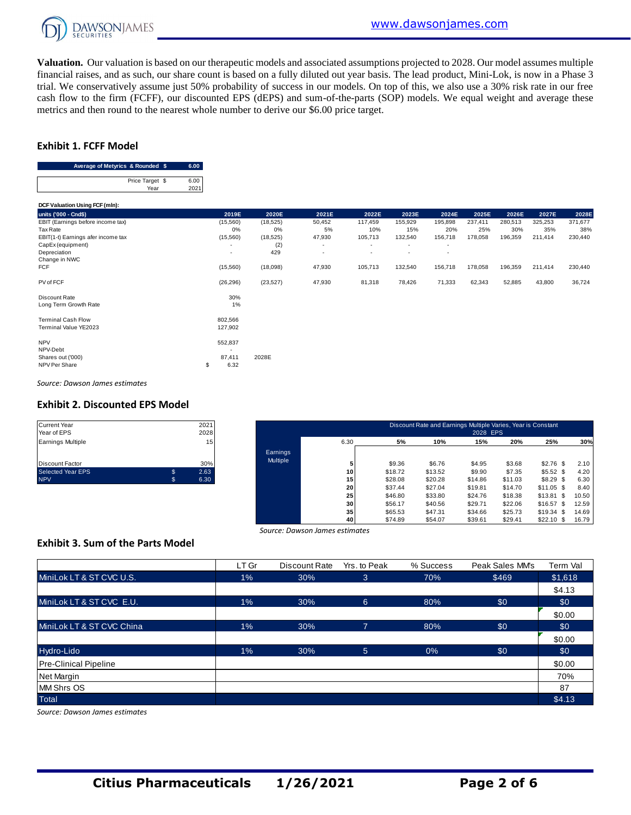

**Valuation.** Our valuation is based on our therapeutic models and associated assumptions projected to 2028. Our model assumes multiple financial raises, and as such, our share count is based on a fully diluted out year basis. The lead product, Mini-Lok, is now in a Phase 3 trial. We conservatively assume just 50% probability of success in our models. On top of this, we also use a 30% risk rate in our free cash flow to the firm (FCFF), our discounted EPS (dEPS) and sum-of-the-parts (SOP) models. We equal weight and average these metrics and then round to the nearest whole number to derive our \$6.00 price target.

#### **Exhibit 1. FCFF Model**

| Average of Metyrics & Rounded \$ | 6.00 |
|----------------------------------|------|
|                                  |      |
| Price Target \$                  | 6.00 |
| Year                             |      |

| Price Target \$<br>6.00<br>Year<br>2021 |                          |           |        |         |         |                          |         |         |         |         |
|-----------------------------------------|--------------------------|-----------|--------|---------|---------|--------------------------|---------|---------|---------|---------|
| DCF Valuation Using FCF (mln):          |                          |           |        |         |         |                          |         |         |         |         |
| units ('000 - Cnd\$)                    | 2019E                    | 2020E     | 2021E  | 2022E   | 2023E   | 2024E                    | 2025E   | 2026E   | 2027E   | 2028E   |
| EBIT (Earnings before income tax)       | (15, 560)                | (18, 525) | 50,452 | 117,459 | 155,929 | 195,898                  | 237,411 | 280,513 | 325,253 | 371,677 |
| Tax Rate                                | 0%                       | 0%        | 5%     | 10%     | 15%     | 20%                      | 25%     | 30%     | 35%     | 38%     |
| EBIT(1-t) Earnings afer income tax      | (15, 560)                | (18, 525) | 47,930 | 105,713 | 132,540 | 156,718                  | 178,058 | 196,359 | 211,414 | 230,440 |
| CapEx (equipment)                       |                          | (2)       | ٠      | ٠       | ٠       | $\overline{\phantom{a}}$ |         |         |         |         |
| Depreciation                            | $\overline{\phantom{a}}$ | 429       | ٠      | ٠       | ٠       | $\overline{\phantom{a}}$ |         |         |         |         |
| Change in NWC                           |                          |           |        |         |         |                          |         |         |         |         |
| FCF                                     | (15, 560)                | (18,098)  | 47,930 | 105,713 | 132,540 | 156,718                  | 178,058 | 196,359 | 211,414 | 230,440 |
| PV of FCF                               | (26, 296)                | (23, 527) | 47,930 | 81,318  | 78,426  | 71,333                   | 62,343  | 52,885  | 43,800  | 36,724  |
| Discount Rate                           | 30%                      |           |        |         |         |                          |         |         |         |         |
| Long Term Growth Rate                   | 1%                       |           |        |         |         |                          |         |         |         |         |
| <b>Terminal Cash Flow</b>               | 802,566                  |           |        |         |         |                          |         |         |         |         |
| Terminal Value YE2023                   | 127,902                  |           |        |         |         |                          |         |         |         |         |
| <b>NPV</b>                              | 552,837                  |           |        |         |         |                          |         |         |         |         |
| NPV-Debt                                |                          |           |        |         |         |                          |         |         |         |         |
| Shares out ('000)                       | 87,411                   | 2028E     |        |         |         |                          |         |         |         |         |
| NPV Per Share                           | 6.32<br>\$               |           |        |         |         |                          |         |         |         |         |

*Source: Dawson James estimates*

#### **Exhibit 2. Discounted EPS Model**

| <b>Current Year</b>      | 2021       |
|--------------------------|------------|
| Year of EPS              | 2028       |
| <b>Earnings Multiple</b> | 15         |
|                          |            |
| <b>Discount Factor</b>   | 30%        |
| Selected Year EPS        | \$<br>2.63 |
| <b>NPV</b>               | 6.30       |

| Current Year<br>Year of EPS |    | 2021<br>2028 |          |                 |         | Discount Rate and Earnings Multiple Varies, Year is Constant | 2028 EPS |         |                 |       |
|-----------------------------|----|--------------|----------|-----------------|---------|--------------------------------------------------------------|----------|---------|-----------------|-------|
| Earnings Multiple           |    | 15           |          | 6.30            | 5%      | 10%                                                          | 15%      | 20%     | 25%             | 30%   |
|                             |    |              | Earnings |                 |         |                                                              |          |         |                 |       |
| Discount Factor             |    | 30%          | Multiple |                 | \$9.36  | \$6.76                                                       | \$4.95   | \$3.68  | $$2.76$ \$      | 2.10  |
| Selected Year EPS           | \$ | 2.63         |          | 10 <sup>1</sup> | \$18.72 | \$13.52                                                      | \$9.90   | \$7.35  | \$5.52\$        | 4.20  |
| <b>NPV</b>                  | S. | 6.30         |          | 15 <sub>1</sub> | \$28.08 | \$20.28                                                      | \$14.86  | \$11.03 | \$8.29 \$       | 6.30  |
|                             |    |              |          | 20              | \$37.44 | \$27.04                                                      | \$19.81  | \$14.70 | $$11.05$ \$     | 8.40  |
|                             |    |              |          | 25              | \$46.80 | \$33.80                                                      | \$24.76  | \$18.38 | \$13.81<br>- \$ | 10.50 |
|                             |    |              |          | 30 <sup>1</sup> | \$56.17 | \$40.56                                                      | \$29.71  | \$22.06 | \$16.57<br>- \$ | 12.59 |
|                             |    |              |          | 35              | \$65.53 | \$47.31                                                      | \$34.66  | \$25.73 | \$19.34<br>- \$ | 14.69 |
|                             |    |              |          | 40              | \$74.89 | \$54.07                                                      | \$39.61  | \$29.41 | $$22.10$ \$     | 16.79 |

# **Exhibit 3. Sum of the Parts Model**

| Source: Dawson James estimates           |       |               |              |           |                 |          |  |  |  |
|------------------------------------------|-------|---------------|--------------|-----------|-----------------|----------|--|--|--|
| <b>Exhibit 3. Sum of the Parts Model</b> |       |               |              |           |                 |          |  |  |  |
|                                          | LT Gr | Discount Rate | Yrs, to Peak | % Success | Peak Sales MM's | Term Val |  |  |  |
| MiniLok LT & ST CVC U.S.                 | $1\%$ | 30%           | 3            | 70%       | \$469           | \$1,618  |  |  |  |
|                                          |       |               |              |           |                 | \$4.13   |  |  |  |
| MiniLok LT & ST CVC E.U.                 | $1\%$ | 30%           | 6            | 80%       | \$0             | \$0      |  |  |  |
|                                          |       |               |              |           |                 | \$0.00   |  |  |  |
| MiniLok LT & ST CVC China                | $1\%$ | 30%           | 7            | 80%       | \$0             | \$0      |  |  |  |
|                                          |       |               |              |           |                 | \$0.00   |  |  |  |
| Hydro-Lido                               | $1\%$ | 30%           | 5            | 0%        | \$0             | \$0      |  |  |  |
| <b>Pre-Clinical Pipeline</b>             |       |               |              |           |                 | \$0.00   |  |  |  |
| Net Margin                               |       |               |              |           |                 | 70%      |  |  |  |
| <b>MM Shrs OS</b>                        |       |               |              |           |                 | 87       |  |  |  |
| <b>Total</b>                             |       |               |              |           |                 | \$4.13   |  |  |  |

*Source: Dawson James estimates*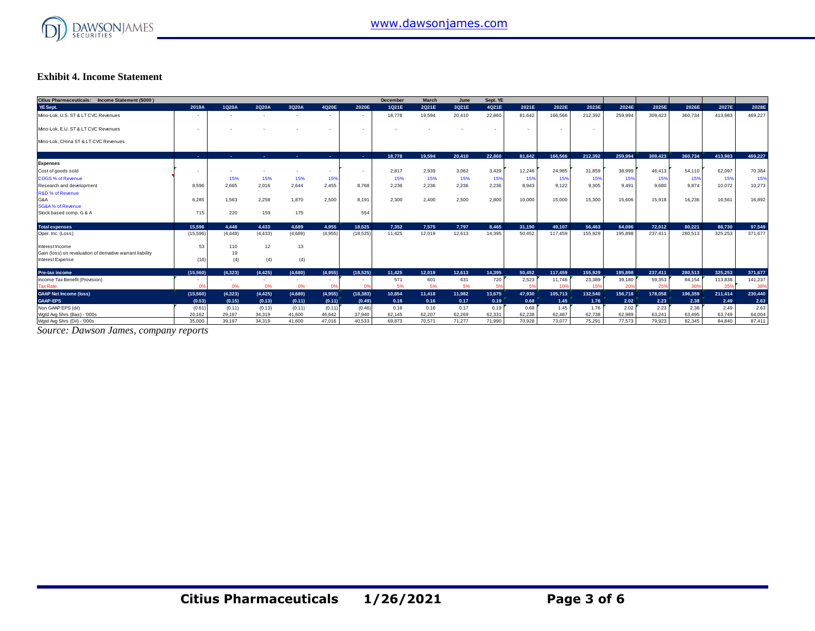

#### **Exhibit 4. Income Statement**

| Citius Pharmaceuticals: Income Statement (\$000)           |                          |                |                          |                |                          |           | <b>December</b> | March  | June   | Sept. YE |        |                          |         |         |         |         |         |         |
|------------------------------------------------------------|--------------------------|----------------|--------------------------|----------------|--------------------------|-----------|-----------------|--------|--------|----------|--------|--------------------------|---------|---------|---------|---------|---------|---------|
| YE Sept.                                                   | 2019A                    | 1Q20A          | 2Q20A                    | 3Q20A          | 4Q20E                    | 2020E     | 1Q21E           | 2Q21E  | 3Q21E  | 4Q21E    | 2021E  | 2022E                    | 2023E   | 2024E   | 2025E   | 2026E   | 2027E   | 2028E   |
| Mino-Lok, U.S. ST & LT CVC Revenues                        | $\overline{\phantom{a}}$ |                | $\overline{\phantom{a}}$ | $\sim$         | $\sim$                   | $\sim$    | 18,778          | 19,594 | 20,410 | 22,860   | 81,642 | 166,566                  | 212,392 | 259,994 | 309,423 | 360,734 | 413,983 | 469,227 |
| Mino-Lok, E.U. ST & LT CVC Revenues                        | $\overline{\phantom{a}}$ |                |                          |                | $\overline{\phantom{a}}$ |           |                 |        |        |          |        | $\overline{\phantom{a}}$ |         |         |         |         |         |         |
| Mino-Lok, CHina ST & LT CVC Revenues                       |                          |                |                          |                |                          |           |                 |        |        |          |        |                          |         |         |         |         |         |         |
|                                                            | <b>College</b>           | <b>Section</b> | <b>Section</b>           | <b>Section</b> | - 1                      | . .       | 18.778          | 19.594 | 20,410 | 22.860   | 81.642 | 166.566                  | 212.392 | 259,994 | 309.423 | 360.734 | 413.983 | 469.227 |
| <b>Expenses</b>                                            |                          |                |                          |                |                          |           |                 |        |        |          |        |                          |         |         |         |         |         |         |
| Cost of goods sold                                         |                          |                | $\overline{\phantom{a}}$ |                | $\overline{\phantom{a}}$ |           | 2,817           | 2,939  | 3,062  | 3,429    | 12,246 | 24,985                   | 31,859  | 38,999  | 46.413  | 54.110  | 62,097  | 70,384  |
| <b>COGS % of Revenue</b>                                   |                          | 15%            | 15%                      | 15%            | 15%                      |           | 15%             | 15%    | 15%    | 15%      | 15%    | 15%                      | 15%     | 15%     | 15%     | 15%     | 15%     | 15%     |
| Research and development                                   | 8,596                    | 2.665          | 2.016                    | 2,644          | 2.455                    | 8.768     | 2,236           | 2,236  | 2,236  | 2,236    | 8.943  | 9.122                    | 9.305   | 9.491   | 9,680   | 9.874   | 10,072  | 10,273  |
| <b>R&amp;D % of Revenue</b>                                |                          |                |                          |                |                          |           |                 |        |        |          |        |                          |         |         |         |         |         |         |
| G&A                                                        | 6,285                    | 1,563          | 2,258                    | 1,870          | 2,500                    | 8.191     | 2,300           | 2,400  | 2,500  | 2,800    | 10,000 | 15,000                   | 15,300  | 15,606  | 15,918  | 16,236  | 16,561  | 16,892  |
| <b>SG&amp;A% of Revenue</b>                                |                          |                |                          |                |                          |           |                 |        |        |          |        |                          |         |         |         |         |         |         |
| Stock based comp. G & A                                    | 715                      | 220            | 159                      | 175            |                          | 554       |                 |        |        |          |        |                          |         |         |         |         |         |         |
| <b>Total expenses</b>                                      | 15.596                   | 4.448          | 4.433                    | 4.689          | 4.955                    | 18.525    | 7.352           | 7.575  | 7.797  | 8.465    | 31,190 | 49.107                   | 56,463  | 64.096  | 72.012  | 80.221  | 88.730  | 97,549  |
| Oper. Inc. (Loss)                                          | (15, 596)                | (4, 448)       | (4, 433)                 | (4,689)        | (4,955)                  | (18, 525) | 11,425          | 12,019 | 12,613 | 14,395   | 50.452 | 117,459                  | 155,929 | 195.898 | 237,411 | 280,513 | 325,253 | 371.677 |
| Interest Income                                            | 53                       | 110            | 12                       | 13             |                          |           |                 |        |        |          |        |                          |         |         |         |         |         |         |
| Gain (loss) on revaluation of derivative warrant liability |                          | 19             |                          |                |                          |           |                 |        |        |          |        |                          |         |         |         |         |         |         |
| <b>Interest Expense</b>                                    | (16)                     | (4)            | (4)                      | (4)            |                          |           |                 |        |        |          |        |                          |         |         |         |         |         |         |
| <b>Pre-tax income</b>                                      | (15, 560)                | (4.323)        | (4.425)                  | (4.680)        | (4.955)                  | (18.525)  | 11.425          | 12.019 | 12.613 | 14.395   | 50.452 | 117.459                  | 155,929 | 195,898 | 237.411 | 280.513 | 325.253 | 371,677 |
| Income Tax Benefit (Provision)                             |                          |                |                          |                |                          |           | 571             | 601    | 631    | 720      | 2,523  | 11,746                   | 23,389  | 39,180  | 59,353  | 84,154  | 113,838 | 141,237 |
| <b>Tax Rate</b>                                            |                          | 0%             | 0%                       | 0%             |                          |           | 5%              | 5%     | 5%     | 5%       | 5%     | 10 <sup>6</sup>          | 15%     | 20%     | 25%     | 30%     | 359     | 38%     |
| <b>GAAP Net Income (loss)</b>                              | (15,560)                 | (4, 323)       | (4, 425)                 | (4,680)        | (4,955)                  | (18, 383) | 10,854          | 11,418 | 11,982 | 13,675   | 47,930 | 105,713                  | 132,540 | 156,718 | 178,058 | 196,359 | 211,414 | 230,440 |
| <b>GAAP-EPS</b>                                            | (0.53)                   | (0.15)         | (0.13)                   | (0.11)         | (0.11)                   | (0.49)    | 0.16            | 0.16   | 0.17   | 0.19     | 0.68   | 1.45                     | 1.76    | 2.02    | 2.23    | 2.38    | 2.49    | 2.63    |
| Non GAAP EPS (dil)                                         | (0.61)                   | (0.11)         | (0.13)                   | (0.11)         | (0.11)                   | (0.46)    | 0.16            | 0.16   | 0.17   | 0.19     | 0.68   | 1.45                     | 1.76    | 2.02    | 2.23    | 2.38    | 2.49    | 2.63    |
| Wgtd Avg Shrs (Bas) - '000s                                | 20,162                   | 29,197         | 34,319                   | 41,600         | 46,642                   | 37,940    | 62,145          | 62,207 | 62.269 | 62.331   | 62,238 | 62,487                   | 62,738  | 62,989  | 63,241  | 63.495  | 63,749  | 64,004  |
| Watd Ava Shrs (Dil) - '000s                                | 35,000                   | 39.197         | 34.319                   | 41,600         | 47.016                   | 40.533    | 69.873          | 70,571 | 71.277 | 71,990   | 70.928 | 73,077                   | 75.291  | 77.573  | 79.923  | 82.345  | 84,840  | 87,411  |

*Source: Dawson James, company reports*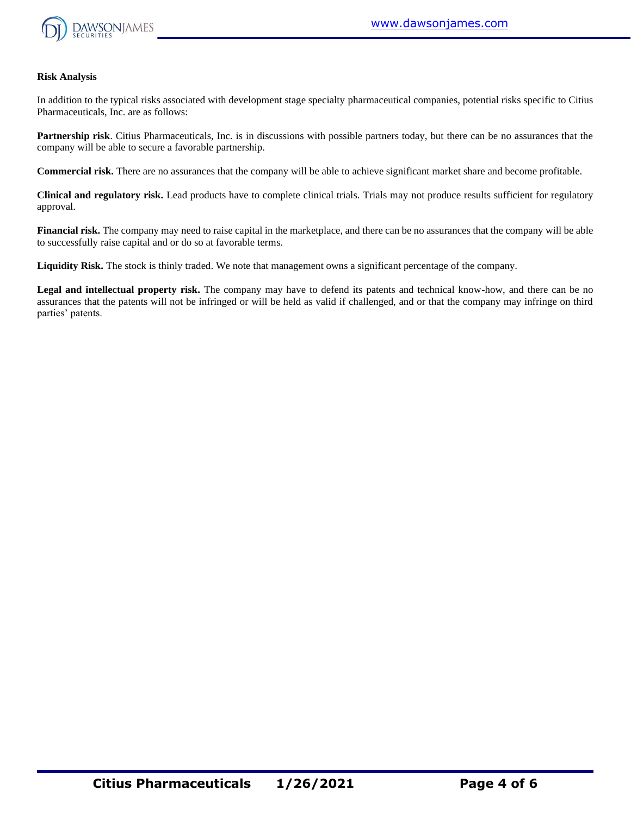

#### **Risk Analysis**

In addition to the typical risks associated with development stage specialty pharmaceutical companies, potential risks specific to Citius Pharmaceuticals, Inc. are as follows:

**Partnership risk**. Citius Pharmaceuticals, Inc. is in discussions with possible partners today, but there can be no assurances that the company will be able to secure a favorable partnership.

**Commercial risk.** There are no assurances that the company will be able to achieve significant market share and become profitable.

**Clinical and regulatory risk.** Lead products have to complete clinical trials. Trials may not produce results sufficient for regulatory approval.

**Financial risk.** The company may need to raise capital in the marketplace, and there can be no assurances that the company will be able to successfully raise capital and or do so at favorable terms.

**Liquidity Risk.** The stock is thinly traded. We note that management owns a significant percentage of the company.

**Legal and intellectual property risk.** The company may have to defend its patents and technical know-how, and there can be no assurances that the patents will not be infringed or will be held as valid if challenged, and or that the company may infringe on third parties' patents.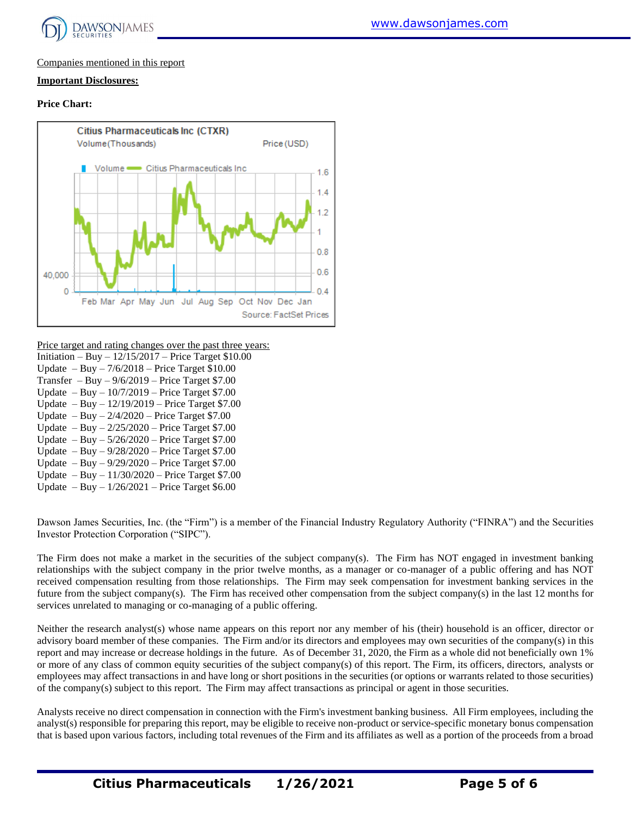

# Companies mentioned in this report

#### **Important Disclosures:**

#### **Price Chart:**



Price target and rating changes over the past three years:

| Initiation – Buy – $12/15/2017$ – Price Target \$10.00 |
|--------------------------------------------------------|
| Update $-$ Buy $-$ 7/6/2018 – Price Target \$10.00     |
| Transfer $-$ Buy $-$ 9/6/2019 – Price Target \$7.00    |
| Update $-$ Buy $-$ 10/7/2019 $-$ Price Target \$7.00   |
| Update $-$ Buy $-$ 12/19/2019 $-$ Price Target \$7.00  |
| Update $-$ Buy $-$ 2/4/2020 $-$ Price Target \$7.00    |
| Update $-$ Buy $- 2/25/2020$ – Price Target \$7.00     |
| Update $-$ Buy $-$ 5/26/2020 $-$ Price Target \$7.00   |
| Update $-$ Buy $-$ 9/28/2020 – Price Target \$7.00     |
| Update $-$ Buy $-$ 9/29/2020 $-$ Price Target \$7.00   |
| Update $-$ Buy $-$ 11/30/2020 $-$ Price Target \$7.00  |
| Update $-$ Buy $-$ 1/26/2021 $-$ Price Target \$6.00   |
|                                                        |

Dawson James Securities, Inc. (the "Firm") is a member of the Financial Industry Regulatory Authority ("FINRA") and the Securities Investor Protection Corporation ("SIPC").

The Firm does not make a market in the securities of the subject company(s). The Firm has NOT engaged in investment banking relationships with the subject company in the prior twelve months, as a manager or co-manager of a public offering and has NOT received compensation resulting from those relationships. The Firm may seek compensation for investment banking services in the future from the subject company(s). The Firm has received other compensation from the subject company(s) in the last 12 months for services unrelated to managing or co-managing of a public offering.

Neither the research analyst(s) whose name appears on this report nor any member of his (their) household is an officer, director or advisory board member of these companies. The Firm and/or its directors and employees may own securities of the company(s) in this report and may increase or decrease holdings in the future. As of December 31, 2020, the Firm as a whole did not beneficially own 1% or more of any class of common equity securities of the subject company(s) of this report. The Firm, its officers, directors, analysts or employees may affect transactions in and have long or short positions in the securities (or options or warrants related to those securities) of the company(s) subject to this report. The Firm may affect transactions as principal or agent in those securities.

Analysts receive no direct compensation in connection with the Firm's investment banking business. All Firm employees, including the analyst(s) responsible for preparing this report, may be eligible to receive non-product or service-specific monetary bonus compensation that is based upon various factors, including total revenues of the Firm and its affiliates as well as a portion of the proceeds from a broad